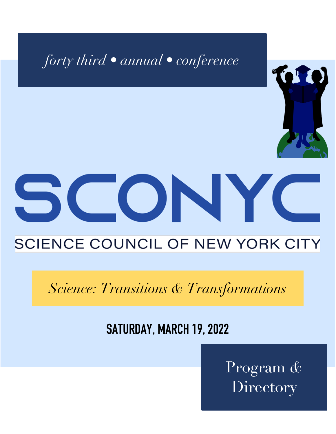

# SCIENCE COUNCIL OF NEW YORK CITY

*Science: Transitions & Transformations*

# **SATURDAY, MARCH 19, 2022**

Program *&* **Directory**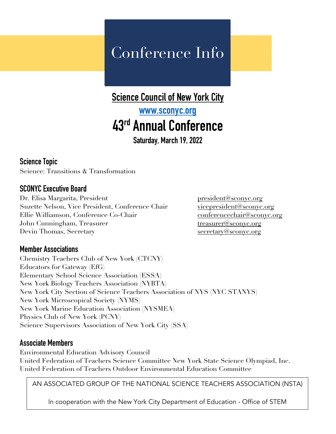# Conference Info

### **Science Council of New York City**

## **[www.sconyc.org](http://www.sconyc.org) 43rd Annual Conference**

**Saturday, March 19, 2022**

#### **Science Topic**

Science: Transitions & Transformation

#### **SCONYC Executive Board**

Dr. Elisa Margarita, President president president president president president president president president president and president president of  $\alpha$ Suzette Nelson, Vice President, Conference Chair [vicepresident@sconyc.org](mailto:vicepresident@sconyc.org) Ellie Williamson, Conference Co-Chair [conferencechair@sconyc.org](mailto:conferencechair@sconyc.org) John Cunningham, Treasurer treasurer [treasurer@sconyc.org](mailto:treasurer@sconyc.org) Devin Thomas, Secretary secretary secretary secretary secretary secretary secretary secretary secretary secretary secretary secretary secretary secretary secretary secretary secretary secretary secretary secretary secretar

#### **Member Associations**

Chemistry Teachers Club of New York (CTCNY) Educators for Gateway (EfG) Elementary School Science Association (ESSA) New York Biology Teachers Association (NYBTA) New York City Section of Science Teachers Association of NYS (NYC STANYS) New York Microscopical Society (NYMS) New York Marine Education Association (NYSMEA) Physics Club of New York (PCNY) Science Supervisors Association of New York City (SSA)

#### **Associate Members**

Environmental Education Advisory Council United Federation of Teachers Science Committee New York State Science Olympiad, Inc. United Federation of Teachers Outdoor Environmental Education Committee

AN ASSOCIATED GROUP OF THE NATIONAL SCIENCE TEACHERS ASSOCIATION (NSTA)

In cooperation with the New York City Department of Education - Office of STEM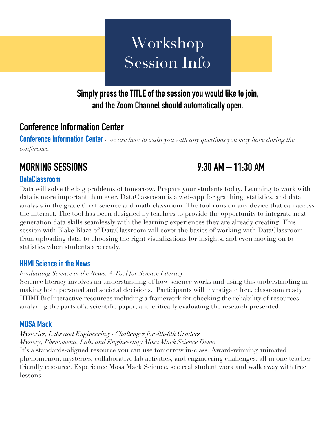# Workshop Session Info

### **Simply press the TITLE of the session you would like to join, and the Zoom Channel should automatically open.**

### **Conference Information Center**

**[Conference Information Center](https://us02web.zoom.us/j/89519550051?pwd=alZIaU9MbmtqYmtkSTFiNE5rTzN1dz09)** - *we are here to assist you with any questions you may have during the conference.*

## **MORNING SESSIONS 9:30 AM – 11:30 AM**

#### **[DataClassroom](https://us02web.zoom.us/j/88306581387?pwd=dzB0d2VoK09uY1pQT1J1blpRZXh4dz09)**

Data will solve the big problems of tomorrow. Prepare your students today. Learning to work with data is more important than ever. DataClassroom is a web-app for graphing, statistics, and data analysis in the grade 6-12+ science and math classroom. The tool runs on any device that can access the internet. The tool has been designed by teachers to provide the opportunity to integrate nextgeneration data skills seamlessly with the learning experiences they are already creating. This session with Blake Blaze of DataClassroom will cover the basics of working with DataClassroom from uploading data, to choosing the right visualizations for insights, and even moving on to statistics when students are ready.

#### **[HHMI Science in the News](https://us02web.zoom.us/j/84637165740?pwd=QWZFTXJIY3BGL2JzZERMUGlldnNIUT09)**

#### *Evaluating Science in the News: A Tool for Science Literacy*

Science literacy involves an understanding of how science works and using this understanding in making both personal and societal decisions. Participants will investigate free, classroom ready HHMI BioInteractive resources including a framework for checking the reliability of resources, analyzing the parts of a scientific paper, and critically evaluating the research presented.

#### **[MOSA Mack](https://us02web.zoom.us/j/87683414008?pwd=c0FEeUVzZWRtQ1JLdGJQS2ZVZUdIdz09)**

## *Mysteries, Labs and Engineering - Challenges for 4th-8th Graders*

*Mystery, Phenomena, Labs and Engineering: Mosa Mack Science Demo* It's a standards-aligned resource you can use tomorrow in-class. Award-winning animated phenomenon, mysteries, collaborative lab activities, and engineering challenges: all in one teacherfriendly resource. Experience Mosa Mack Science, see real student work and walk away with free lessons.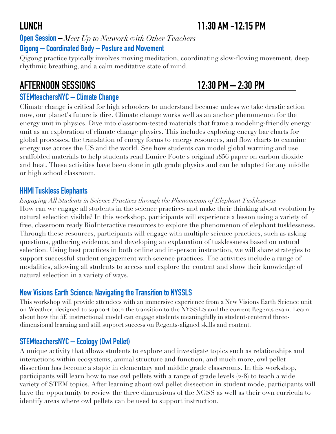**[Open Session](https://us02web.zoom.us/j/88443434893?pwd=Smc3WnZNYnNVcC8wdXV1anBwbUlFZz09) –** *Meet Up to Network with Other Teachers*  **Qigong – Coordinated Body – [Posture and Movement](https://us02web.zoom.us/j/89515992380?pwd=K29hQnFlMjNmcFB6YWdTd0hNYkRVQT09)**

Qigong practice typically involves moving meditation, coordinating slow-flowing movement, deep rhythmic breathing, and a calm meditative state of mind.

## **AFTERNOON SESSIONS 12:30 PM – 2:30 PM**

### **[STEMteachersNYC –](https://us02web.zoom.us/j/87338724433?pwd=bjNlUmd4Q255QnA3c0ZISGZwTVhOQT09) Climate Change**

Climate change is critical for high schoolers to understand because unless we take drastic action now, our planet's future is dire. Climate change works well as an anchor phenomenon for the energy unit in physics. Dive into classroom-tested materials that frame a modeling-friendly energy unit as an exploration of climate change physics. This includes exploring energy bar charts for global processes, the translation of energy forms to energy resources, and flow charts to examine energy use across the US and the world. See how students can model global warming and use scaffolded materials to help students read Eunice Foote's original 1856 paper on carbon dioxide and heat. These activities have been done in 9th grade physics and can be adapted for any middle or high school classroom.

#### **[HHMI Tuskless Elephants](https://us02web.zoom.us/j/81376114788?pwd=Q2xFM0txdk9IbHhZaGx3UUpzZjMrUT09)**

*Engaging All Students in Science Practices through the Phenomenon of Elephant Tusklessness* How can we engage all students in the science practices and make their thinking about evolution by natural selection visible? In this workshop, participants will experience a lesson using a variety of free, classroom ready BioInteractive resources to explore the phenomenon of elephant tusklessness. Through these resources, participants will engage with multiple science practices, such as asking questions, gathering evidence, and developing an explanation of tusklessness based on natural selection. Using best practices in both online and in-person instruction, we will share strategies to support successful student engagement with science practices. The activities include a range of modalities, allowing all students to access and explore the content and show their knowledge of natural selection in a variety of ways.

### **[New Visions Earth Science: Navigating the Transition to NYSSLS](https://us02web.zoom.us/j/87061305551?pwd=UXZjYjExZUtkYWJzbTUxcjVVQkxrUT09)**

This workshop will provide attendees with an immersive experience from a New Visions Earth Science unit on Weather, designed to support both the transition to the NYSSLS and the current Regents exam. Learn about how the 5E instructional model can engage students meaningfully in student-centered threedimensional learning and still support success on Regents-aligned skills and content.

### **[STEMteachersNYC –](https://us02web.zoom.us/j/85451860135?pwd=QkkvcTJWbHJubERYbEZSeTYvdmsvdz09) Ecology (Owl Pellet)**

A unique activity that allows students to explore and investigate topics such as relationships and interactions within ecosystems, animal structure and function, and much more, owl pellet dissection has become a staple in elementary and middle grade classrooms. In this workshop, participants will learn how to use owl pellets with a range of grade levels (2-8) to teach a wide variety of STEM topics. After learning about owl pellet dissection in student mode, participants will have the opportunity to review the three dimensions of the NGSS as well as their own curricula to identify areas where owl pellets can be used to support instruction.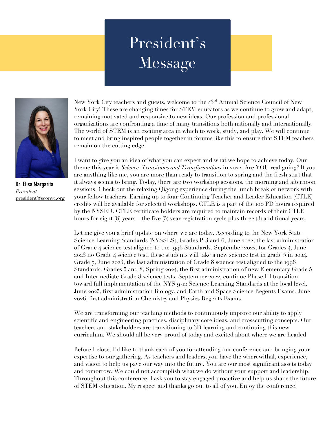# President's Message



**Dr. Elisa Margarita** *President* [president@sconyc.org](mailto:president@sconyc.org)

New York City teachers and guests, welcome to the  $43^{\text{rd}}$  Annual Science Council of New York City! These are changing times for STEM educators as we continue to grow and adapt, remaining motivated and responsive to new ideas. Our profession and professional organizations are confronting a time of many transitions both nationally and internationally. The world of STEM is an exciting area in which to work, study, and play. We will continue to meet and bring inspired people together in forums like this to ensure that STEM teachers remain on the cutting edge.

I want to give you an idea of what you can expect and what we hope to achieve today. Our theme this year is *Science: Transitions and Transformations* in 2022. Are YOU realigning? If you are anything like me, you are more than ready to transition to spring and the fresh start that it always seems to bring. Today, there are two workshop sessions, the morning and afternoon sessions. Check out the relaxing Qigong experience during the lunch break or network with your fellow teachers. Earning up to **four** Continuing Teacher and Leader Education (CTLE) credits will be available for selected workshops. CTLE is a part of the 100 PD hours required by the NYSED. CTLE certificate holders are required to maintain records of their CTLE hours for eight (8) years – the five (5) year registration cycle plus three (3) additional years.

Let me give you a brief update on where we are today. According to the New York State Science Learning Standards (NYSSLS), Grades P-3 and 6, June 2022, the last administration of Grade 4 science test aligned to the 1996 Standards. September 2022, for Grades 4, June 2023 no Grade 4 science test; these students will take a new science test in grade 5 in 2024. Grade 7, June 2023, the last administration of Grade 8 science test aligned to the 1996 Standards. Grades 5 and 8, Spring 2024, the first administration of new Elementary Grade 5 and Intermediate Grade 8 science tests. September 2022, continue Phase III transition toward full implementation of the NYS 9-12 Science Learning Standards at the local level. June 2025, first administration Biology, and Earth and Space Science Regents Exams. June 2026, first administration Chemistry and Physics Regents Exams.

We are transforming our teaching methods to continuously improve our ability to apply scientific and engineering practices, disciplinary core ideas, and crosscutting concepts. Our teachers and stakeholders are transitioning to 3D learning and continuing this new curriculum. We should all be very proud of today and excited about where we are headed.

Before I close, I'd like to thank each of you for attending our conference and bringing your expertise to our gathering. As teachers and leaders, you have the wherewithal, experience, and vision to help us pave our way into the future. You are our most significant assets today and tomorrow. We could not accomplish what we do without your support and leadership. Throughout this conference, I ask you to stay engaged proactive and help us shape the future of STEM education. My respect and thanks go out to all of you. Enjoy the conference!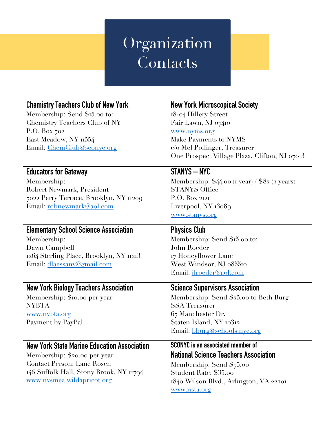# Organization **Contacts**

| <b>Chemistry Teachers Club of New York</b><br>Membership: Send \$15.00 to:<br>Chemistry Teachers Club of NY<br>P.O. Box $702$<br>East Meadow, NY 11554<br>Email: ChemClub@sconyc.org | <b>New York Microscopical Society</b><br>18-04 Hillery Street<br>Fair Lawn, NJ 07410<br>www.nyms.org<br>Make Payments to NYMS<br>c/o Mel Pollinger, Treasurer<br>One Prospect Village Plaza, Clifton, NJ 07013 |
|--------------------------------------------------------------------------------------------------------------------------------------------------------------------------------------|----------------------------------------------------------------------------------------------------------------------------------------------------------------------------------------------------------------|
| <b>Educators for Gateway</b><br>Membership:                                                                                                                                          | <b>STANYS - NYC</b><br>Membership: \$44.00 (1 year) / \$82 (2 years)                                                                                                                                           |
| Robert Newmark, President                                                                                                                                                            | <b>STANYS Office</b>                                                                                                                                                                                           |
| 7022 Perry Terrace, Brooklyn, NY 11209                                                                                                                                               | $P.O.$ Box 2121                                                                                                                                                                                                |
| Email: robnewmark@aol.com                                                                                                                                                            | Liverpool, NY 13089                                                                                                                                                                                            |
|                                                                                                                                                                                      | www.slanys.org                                                                                                                                                                                                 |
| <b>Elementary School Science Association</b>                                                                                                                                         | <b>Physics Club</b>                                                                                                                                                                                            |
| Membership:                                                                                                                                                                          | Membership: Send \$15.00 to:                                                                                                                                                                                   |
| Dawn Campbell                                                                                                                                                                        | John Roeder                                                                                                                                                                                                    |
| 1264 Sterling Place, Brooklyn, NY 11213                                                                                                                                              | 17 Honeyflower Lane                                                                                                                                                                                            |
| Email: dlaessany@gmail.com                                                                                                                                                           | West Windsor, NJ 085510                                                                                                                                                                                        |
|                                                                                                                                                                                      | Email: <i>jlroeder@aol.com</i>                                                                                                                                                                                 |
| <b>New York Biology Teachers Association</b>                                                                                                                                         | <b>Science Supervisors Association</b>                                                                                                                                                                         |
| Membership: \$10.00 per year                                                                                                                                                         | Membership: Send \$25.00 to Beth Burg                                                                                                                                                                          |
| <b>NYBTA</b>                                                                                                                                                                         | <b>SSA</b> Treasurer                                                                                                                                                                                           |
| www.nybta.org                                                                                                                                                                        | 67 Manchester Dr.                                                                                                                                                                                              |
| Payment by PayPal                                                                                                                                                                    | Staten Island, NY 10312                                                                                                                                                                                        |
|                                                                                                                                                                                      | Email: bburg@schools.nyc.org                                                                                                                                                                                   |
| <b>New York State Marine Education Association</b>                                                                                                                                   | SCONYC is an associated member of                                                                                                                                                                              |
| Membership: \$20.00 per year                                                                                                                                                         | <b>National Science Teachers Association</b>                                                                                                                                                                   |
| <b>Contact Person: Lane Rosen</b>                                                                                                                                                    | Membership: Send \$75.00                                                                                                                                                                                       |
| 146 Suffolk Hall, Stony Brook, NY 11794                                                                                                                                              | Student Rate: \$35.00                                                                                                                                                                                          |
| www.nysmea.wildapricot.org                                                                                                                                                           | 1840 Wilson Blvd., Arlington, VA 22201                                                                                                                                                                         |
|                                                                                                                                                                                      | www.nsla.org                                                                                                                                                                                                   |